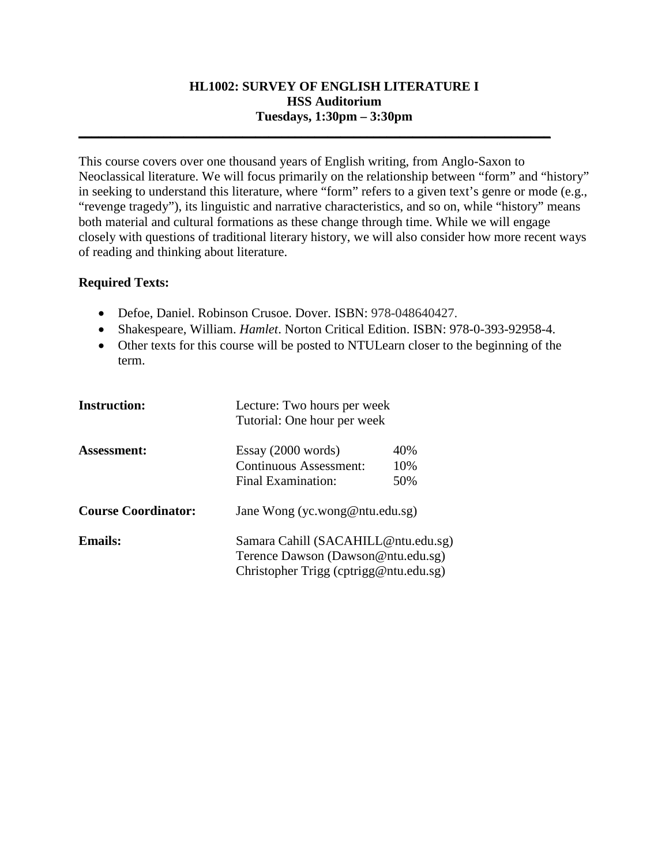## **HL1002: SURVEY OF ENGLISH LITERATURE I HSS Auditorium Tuesdays, 1:30pm – 3:30pm**

**\_\_\_\_\_\_\_\_\_\_\_\_\_\_\_\_\_\_\_\_\_\_\_\_\_\_\_\_\_\_\_\_\_\_\_\_\_\_\_\_\_\_\_\_\_\_\_\_\_\_\_\_\_\_\_\_\_\_\_\_\_\_\_\_\_\_\_\_\_\_\_\_**

This course covers over one thousand years of English writing, from Anglo-Saxon to Neoclassical literature. We will focus primarily on the relationship between "form" and "history" in seeking to understand this literature, where "form" refers to a given text's genre or mode (e.g., "revenge tragedy"), its linguistic and narrative characteristics, and so on, while "history" means both material and cultural formations as these change through time. While we will engage closely with questions of traditional literary history, we will also consider how more recent ways of reading and thinking about literature.

## **Required Texts:**

- Defoe, Daniel. Robinson Crusoe. Dover. ISBN: 978-048640427.
- Shakespeare, William. *Hamlet*. Norton Critical Edition. ISBN: 978-0-393-92958-4.
- Other texts for this course will be posted to NTULearn closer to the beginning of the term.

| <b>Instruction:</b>        | Lecture: Two hours per week<br>Tutorial: One hour per week |     |  |
|----------------------------|------------------------------------------------------------|-----|--|
| <b>Assessment:</b>         | Essay (2000 words)                                         | 40% |  |
|                            | <b>Continuous Assessment:</b>                              | 10% |  |
|                            | Final Examination:                                         | 50% |  |
| <b>Course Coordinator:</b> | Jane Wong (yc.wong@ntu.edu.sg)                             |     |  |
| <b>Emails:</b>             | Samara Cahill (SACAHILL@ntu.edu.sg)                        |     |  |
|                            | Terence Dawson (Dawson@ntu.edu.sg)                         |     |  |
|                            | Christopher Trigg (cptrigg@ntu.edu.sg)                     |     |  |